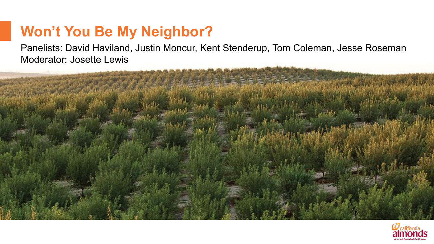# **Won't You Be My Neighbor?**

Panelists: David Haviland, Justin Moncur, Kent Stenderup, Tom Coleman, Jesse Roseman Moderator: Josette Lewis



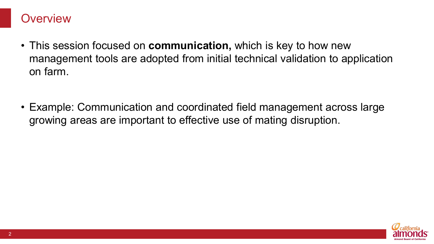#### **Overview**

- This session focused on **communication,** which is key to how new management tools are adopted from initial technical validation to application on farm.
- Example: Communication and coordinated field management across large growing areas are important to effective use of mating disruption.

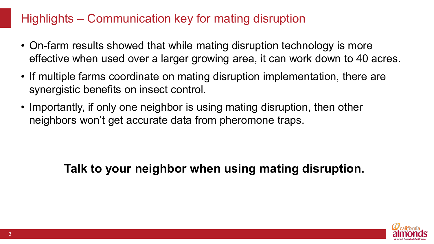# Highlights – Communication key for mating disruption

- On-farm results showed that while mating disruption technology is more effective when used over a larger growing area, it can work down to 40 acres.
- If multiple farms coordinate on mating disruption implementation, there are synergistic benefits on insect control.
- Importantly, if only one neighbor is using mating disruption, then other neighbors won't get accurate data from pheromone traps.

# **Talk to your neighbor when using mating disruption.**

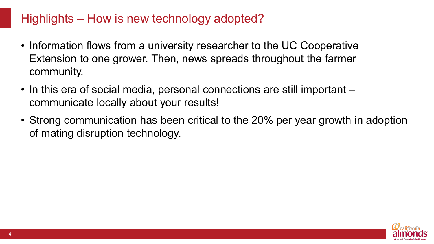# Highlights – How is new technology adopted?

- Information flows from a university researcher to the UC Cooperative Extension to one grower. Then, news spreads throughout the farmer community.
- In this era of social media, personal connections are still important communicate locally about your results!
- Strong communication has been critical to the 20% per year growth in adoption of mating disruption technology.

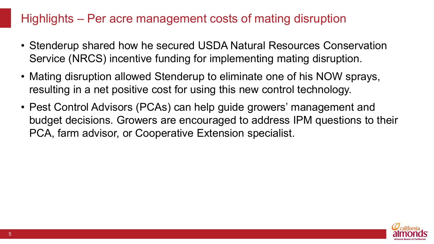# Highlights – Per acre management costs of mating disruption

- Stenderup shared how he secured USDA Natural Resources Conservation Service (NRCS) incentive funding for implementing mating disruption.
- Mating disruption allowed Stenderup to eliminate one of his NOW sprays, resulting in a net positive cost for using this new control technology.
- Pest Control Advisors (PCAs) can help guide growers' management and budget decisions. Growers are encouraged to address IPM questions to their PCA, farm advisor, or Cooperative Extension specialist.